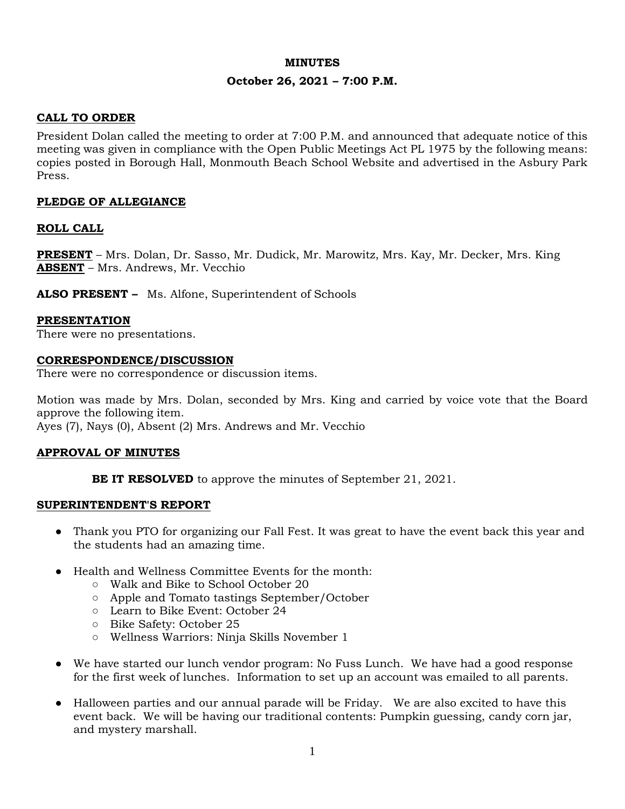#### **MINUTES**

### **October 26, 2021 – 7:00 P.M.**

# **CALL TO ORDER**

President Dolan called the meeting to order at 7:00 P.M. and announced that adequate notice of this meeting was given in compliance with the Open Public Meetings Act PL 1975 by the following means: copies posted in Borough Hall, Monmouth Beach School Website and advertised in the Asbury Park Press.

### **PLEDGE OF ALLEGIANCE**

### **ROLL CALL**

**PRESENT** – Mrs. Dolan, Dr. Sasso, Mr. Dudick, Mr. Marowitz, Mrs. Kay, Mr. Decker, Mrs. King **ABSENT** – Mrs. Andrews, Mr. Vecchio

**ALSO PRESENT –** Ms. Alfone, Superintendent of Schools

#### **PRESENTATION**

There were no presentations.

#### **CORRESPONDENCE/DISCUSSION**

There were no correspondence or discussion items.

Motion was made by Mrs. Dolan, seconded by Mrs. King and carried by voice vote that the Board approve the following item.

Ayes (7), Nays (0), Absent (2) Mrs. Andrews and Mr. Vecchio

#### **APPROVAL OF MINUTES**

**BE IT RESOLVED** to approve the minutes of September 21, 2021.

#### **SUPERINTENDENT'S REPORT**

- Thank you PTO for organizing our Fall Fest. It was great to have the event back this year and the students had an amazing time.
- Health and Wellness Committee Events for the month:
	- Walk and Bike to School October 20
	- Apple and Tomato tastings September/October
	- Learn to Bike Event: October 24
	- Bike Safety: October 25
	- Wellness Warriors: Ninja Skills November 1
- We have started our lunch vendor program: No Fuss Lunch. We have had a good response for the first week of lunches. Information to set up an account was emailed to all parents.
- Halloween parties and our annual parade will be Friday. We are also excited to have this event back. We will be having our traditional contents: Pumpkin guessing, candy corn jar, and mystery marshall.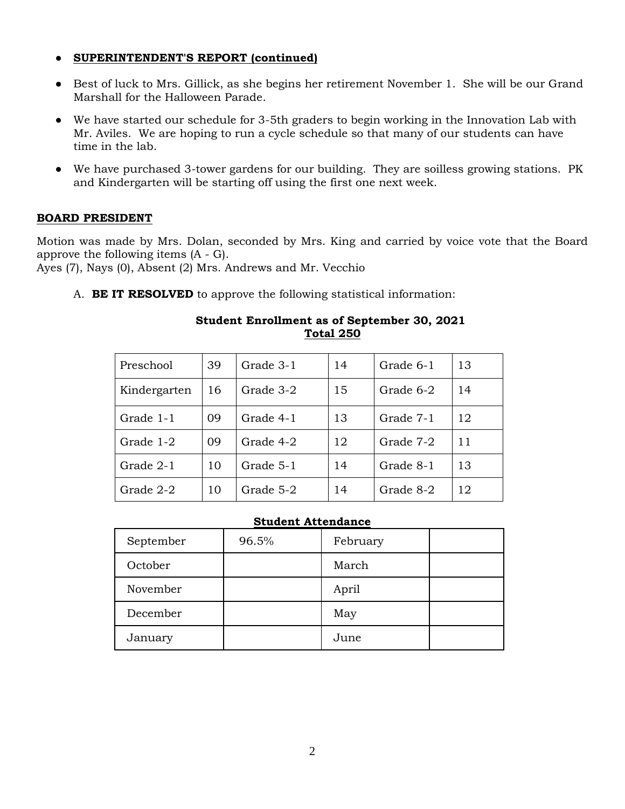# ● **SUPERINTENDENT'S REPORT (continued)**

- Best of luck to Mrs. Gillick, as she begins her retirement November 1. She will be our Grand Marshall for the Halloween Parade.
- We have started our schedule for 3-5th graders to begin working in the Innovation Lab with Mr. Aviles. We are hoping to run a cycle schedule so that many of our students can have time in the lab.
- We have purchased 3-tower gardens for our building. They are soilless growing stations. PK and Kindergarten will be starting off using the first one next week.

# **BOARD PRESIDENT**

Motion was made by Mrs. Dolan, seconded by Mrs. King and carried by voice vote that the Board approve the following items (A - G).

Ayes (7), Nays (0), Absent (2) Mrs. Andrews and Mr. Vecchio

A. **BE IT RESOLVED** to approve the following statistical information:

| Preschool    | 39 | Grade 3-1 | 14 | Grade 6-1 | 13 |
|--------------|----|-----------|----|-----------|----|
| Kindergarten | 16 | Grade 3-2 | 15 | Grade 6-2 | 14 |
| Grade 1-1    | 09 | Grade 4-1 | 13 | Grade 7-1 | 12 |
| Grade 1-2    | 09 | Grade 4-2 | 12 | Grade 7-2 | 11 |
| Grade 2-1    | 10 | Grade 5-1 | 14 | Grade 8-1 | 13 |
| Grade 2-2    | 10 | Grade 5-2 | 14 | Grade 8-2 | 12 |

### **Student Enrollment as of September 30, 2021 Total 250**

### **Student Attendance**

| September | 96.5% | February |  |
|-----------|-------|----------|--|
| October   |       | March    |  |
| November  |       | April    |  |
| December  |       | May      |  |
| January   |       | June     |  |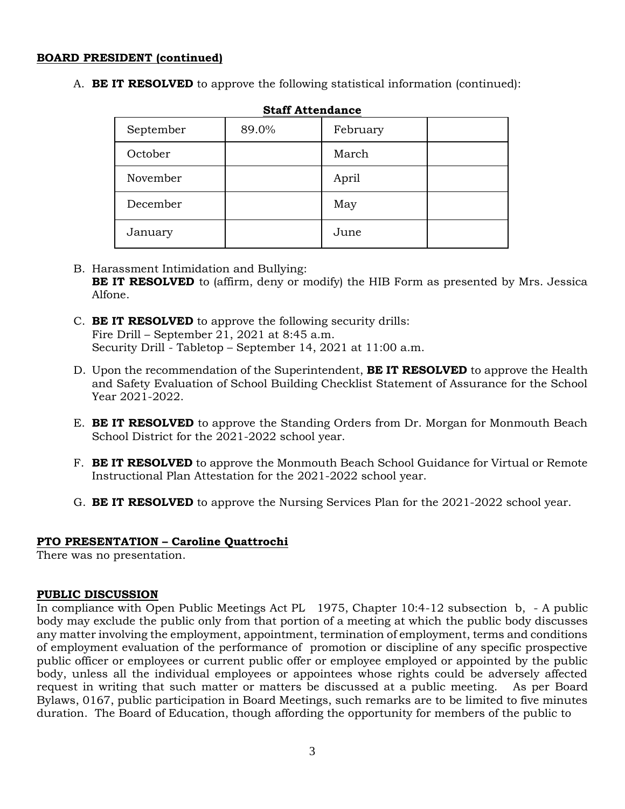#### **BOARD PRESIDENT (continued)**

A. **BE IT RESOLVED** to approve the following statistical information (continued):

| September | 89.0% | February |  |
|-----------|-------|----------|--|
| October   |       | March    |  |
| November  |       | April    |  |
| December  |       | May      |  |
| January   |       | June     |  |

**Staff Attendance**

- B. Harassment Intimidation and Bullying: **BE IT RESOLVED** to (affirm, deny or modify) the HIB Form as presented by Mrs. Jessica Alfone.
- C. **BE IT RESOLVED** to approve the following security drills: Fire Drill – September 21, 2021 at 8:45 a.m. Security Drill - Tabletop – September 14, 2021 at 11:00 a.m.
- D. Upon the recommendation of the Superintendent, **BE IT RESOLVED** to approve the Health and Safety Evaluation of School Building Checklist Statement of Assurance for the School Year 2021-2022.
- E. **BE IT RESOLVED** to approve the Standing Orders from Dr. Morgan for Monmouth Beach School District for the 2021-2022 school year.
- F. **BE IT RESOLVED** to approve the Monmouth Beach School Guidance for Virtual or Remote Instructional Plan Attestation for the 2021-2022 school year.
- G. **BE IT RESOLVED** to approve the Nursing Services Plan for the 2021-2022 school year.

# **PTO PRESENTATION – Caroline Quattrochi**

There was no presentation.

# **PUBLIC DISCUSSION**

In compliance with Open Public Meetings Act PL 1975, Chapter 10:4-12 subsection b, - A public body may exclude the public only from that portion of a meeting at which the public body discusses any matter involving the employment, appointment, termination of employment, terms and conditions of employment evaluation of the performance of promotion or discipline of any specific prospective public officer or employees or current public offer or employee employed or appointed by the public body, unless all the individual employees or appointees whose rights could be adversely affected request in writing that such matter or matters be discussed at a public meeting. As per Board Bylaws, 0167, public participation in Board Meetings, such remarks are to be limited to five minutes duration. The Board of Education, though affording the opportunity for members of the public to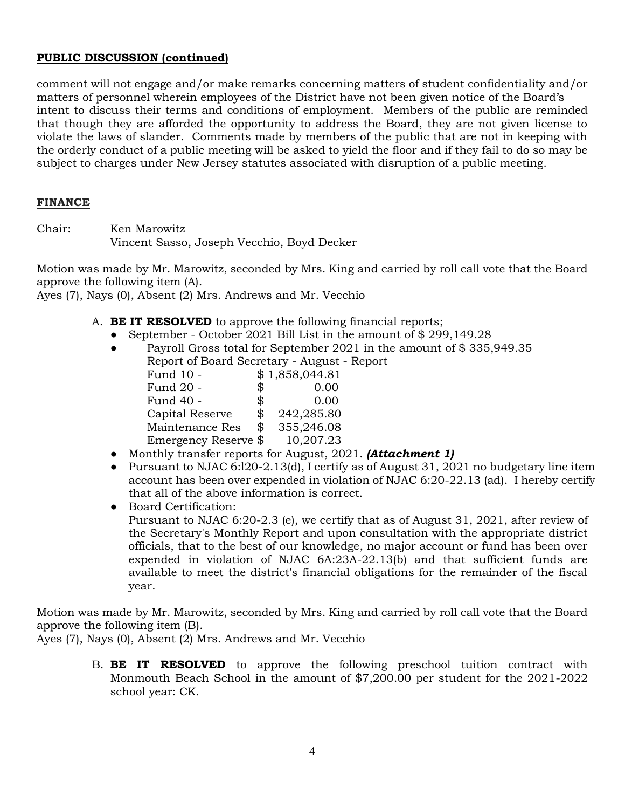### **PUBLIC DISCUSSION (continued)**

comment will not engage and/or make remarks concerning matters of student confidentiality and/or matters of personnel wherein employees of the District have not been given notice of the Board's intent to discuss their terms and conditions of employment. Members of the public are reminded that though they are afforded the opportunity to address the Board, they are not given license to violate the laws of slander. Comments made by members of the public that are not in keeping with the orderly conduct of a public meeting will be asked to yield the floor and if they fail to do so may be subject to charges under New Jersey statutes associated with disruption of a public meeting.

### **FINANCE**

Chair: Ken Marowitz Vincent Sasso, Joseph Vecchio, Boyd Decker

Motion was made by Mr. Marowitz, seconded by Mrs. King and carried by roll call vote that the Board approve the following item (A).

Ayes (7), Nays (0), Absent (2) Mrs. Andrews and Mr. Vecchio

- A. **BE IT RESOLVED** to approve the following financial reports;
	- September October 2021 Bill List in the amount of \$299,149.28
	- Payroll Gross total for September 2021 in the amount of  $$ 335,949.35$ Report of Board Secretary - August - Report Fund 10 - \$1,858,044.81 Fund 20 - \$ 0.00 Fund 40 - \$ 0.00 Capital Reserve \$ 242,285.80 Maintenance Res \$ 355,246.08 Emergency Reserve  $\$\ 10,207.23$
	- Monthly transfer reports for August, 2021. *(Attachment 1)*
	- Pursuant to NJAC 6:120-2.13(d), I certify as of August 31, 2021 no budgetary line item account has been over expended in violation of NJAC 6:20-22.13 (ad). I hereby certify that all of the above information is correct.

● Board Certification: Pursuant to NJAC 6:20-2.3 (e), we certify that as of August 31, 2021, after review of the Secretary's Monthly Report and upon consultation with the appropriate district officials, that to the best of our knowledge, no major account or fund has been over expended in violation of NJAC 6A:23A-22.13(b) and that sufficient funds are available to meet the district's financial obligations for the remainder of the fiscal year.

Motion was made by Mr. Marowitz, seconded by Mrs. King and carried by roll call vote that the Board approve the following item (B).

Ayes (7), Nays (0), Absent (2) Mrs. Andrews and Mr. Vecchio

B. **BE IT RESOLVED** to approve the following preschool tuition contract with Monmouth Beach School in the amount of \$7,200.00 per student for the 2021-2022 school year: CK.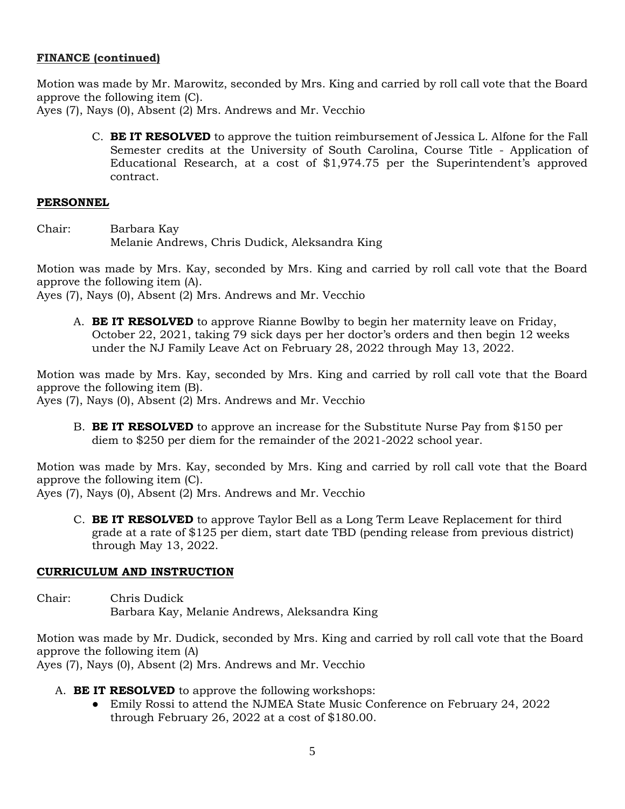### **FINANCE (continued)**

Motion was made by Mr. Marowitz, seconded by Mrs. King and carried by roll call vote that the Board approve the following item (C). Ayes (7), Nays (0), Absent (2) Mrs. Andrews and Mr. Vecchio

- - C. **BE IT RESOLVED** to approve the tuition reimbursement of Jessica L. Alfone for the Fall Semester credits at the University of South Carolina, Course Title - Application of Educational Research, at a cost of \$1,974.75 per the Superintendent's approved contract.

#### **PERSONNEL**

Chair: Barbara Kay Melanie Andrews, Chris Dudick, Aleksandra King

Motion was made by Mrs. Kay, seconded by Mrs. King and carried by roll call vote that the Board approve the following item (A).

Ayes (7), Nays (0), Absent (2) Mrs. Andrews and Mr. Vecchio

A. **BE IT RESOLVED** to approve Rianne Bowlby to begin her maternity leave on Friday, October 22, 2021, taking 79 sick days per her doctor's orders and then begin 12 weeks under the NJ Family Leave Act on February 28, 2022 through May 13, 2022.

Motion was made by Mrs. Kay, seconded by Mrs. King and carried by roll call vote that the Board approve the following item (B).

Ayes (7), Nays (0), Absent (2) Mrs. Andrews and Mr. Vecchio

B. **BE IT RESOLVED** to approve an increase for the Substitute Nurse Pay from \$150 per diem to \$250 per diem for the remainder of the 2021-2022 school year.

Motion was made by Mrs. Kay, seconded by Mrs. King and carried by roll call vote that the Board approve the following item (C).

Ayes (7), Nays (0), Absent (2) Mrs. Andrews and Mr. Vecchio

C. **BE IT RESOLVED** to approve Taylor Bell as a Long Term Leave Replacement for third grade at a rate of \$125 per diem, start date TBD (pending release from previous district) through May 13, 2022.

# **CURRICULUM AND INSTRUCTION**

Chair: Chris Dudick Barbara Kay, Melanie Andrews, Aleksandra King

Motion was made by Mr. Dudick, seconded by Mrs. King and carried by roll call vote that the Board approve the following item (A)

Ayes (7), Nays (0), Absent (2) Mrs. Andrews and Mr. Vecchio

- A. **BE IT RESOLVED** to approve the following workshops:
	- Emily Rossi to attend the NJMEA State Music Conference on February 24, 2022 through February 26, 2022 at a cost of \$180.00.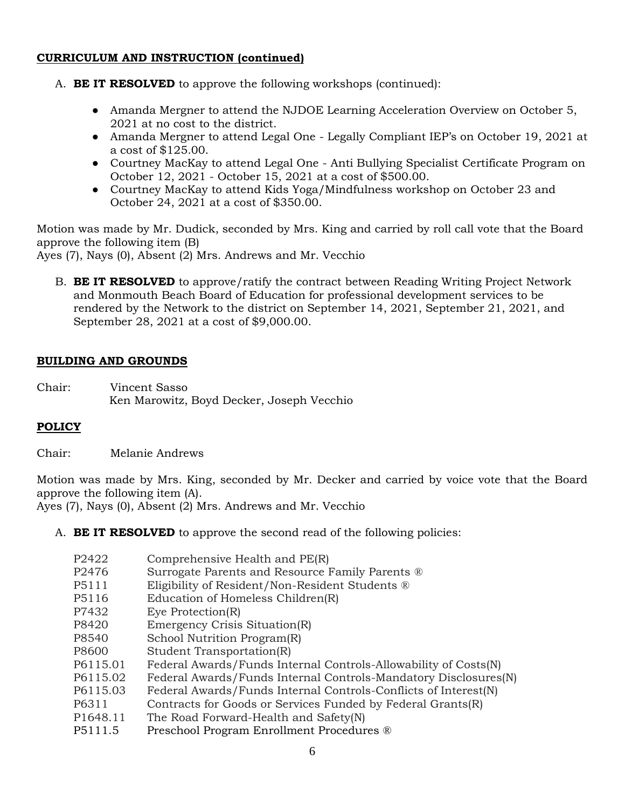### **CURRICULUM AND INSTRUCTION (continued)**

- A. **BE IT RESOLVED** to approve the following workshops (continued):
	- Amanda Mergner to attend the NJDOE Learning Acceleration Overview on October 5, 2021 at no cost to the district.
	- Amanda Mergner to attend Legal One Legally Compliant IEP's on October 19, 2021 at a cost of \$125.00.
	- Courtney MacKay to attend Legal One Anti Bullying Specialist Certificate Program on October 12, 2021 - October 15, 2021 at a cost of \$500.00.
	- Courtney MacKay to attend Kids Yoga/Mindfulness workshop on October 23 and October 24, 2021 at a cost of \$350.00.

Motion was made by Mr. Dudick, seconded by Mrs. King and carried by roll call vote that the Board approve the following item (B)

Ayes (7), Nays (0), Absent (2) Mrs. Andrews and Mr. Vecchio

B. **BE IT RESOLVED** to approve/ratify the contract between Reading Writing Project Network and Monmouth Beach Board of Education for professional development services to be rendered by the Network to the district on September 14, 2021, September 21, 2021, and September 28, 2021 at a cost of \$9,000.00.

# **BUILDING AND GROUNDS**

Chair: Vincent Sasso Ken Marowitz, Boyd Decker, Joseph Vecchio

# **POLICY**

Chair: Melanie Andrews

Motion was made by Mrs. King, seconded by Mr. Decker and carried by voice vote that the Board approve the following item (A).

Ayes (7), Nays (0), Absent (2) Mrs. Andrews and Mr. Vecchio

A. **BE IT RESOLVED** to approve the second read of the following policies:

| P2422             | Comprehensive Health and PE(R)                                  |
|-------------------|-----------------------------------------------------------------|
| P <sub>2476</sub> | Surrogate Parents and Resource Family Parents ®                 |
| P5111             | Eligibility of Resident/Non-Resident Students ®                 |
| P <sub>5116</sub> | Education of Homeless Children(R)                               |
| P7432             | Eye Protection $(R)$                                            |
| P8420             | Emergency Crisis Situation(R)                                   |
| P8540             | School Nutrition Program(R)                                     |
| P8600             | Student Transportation(R)                                       |
| P6115.01          | Federal Awards/Funds Internal Controls-Allowability of Costs(N) |
| P6115.02          | Federal Awards/Funds Internal Controls-Mandatory Disclosures(N) |
| P6115.03          | Federal Awards/Funds Internal Controls-Conflicts of Interest(N) |
| P6311             | Contracts for Goods or Services Funded by Federal Grants(R)     |
| P1648.11          | The Road Forward-Health and Safety(N)                           |
| <b>DE111 E</b>    | $Drosophool$ $Drogrom$ $Enrollmont$ $Drogoldura$                |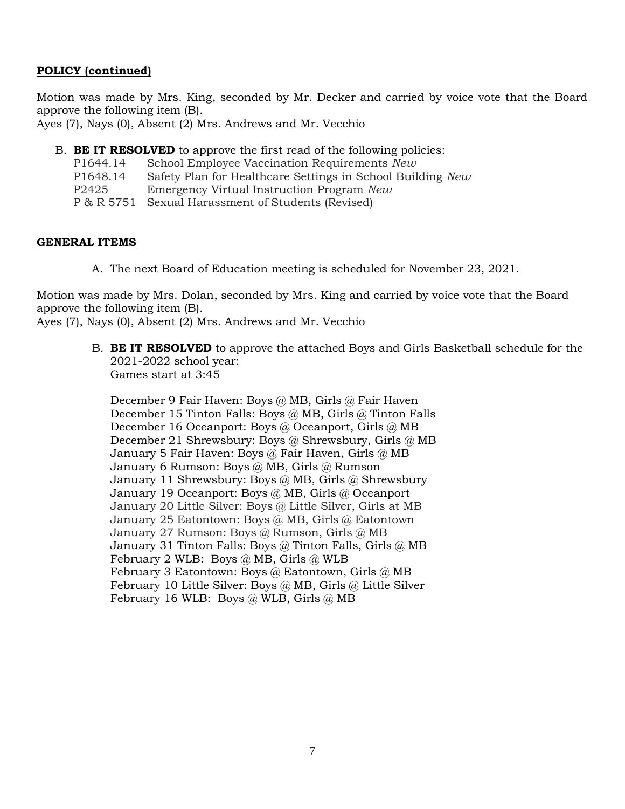# **POLICY (continued)**

Motion was made by Mrs. King, seconded by Mr. Decker and carried by voice vote that the Board approve the following item (B).

Ayes (7), Nays (0), Absent (2) Mrs. Andrews and Mr. Vecchio

B. **BE IT RESOLVED** to approve the first read of the following policies:

| P1644.14 | School Employee Vaccination Requirements New               |
|----------|------------------------------------------------------------|
| P1648.14 | Safety Plan for Healthcare Settings in School Building New |
| P2425    | Emergency Virtual Instruction Program New                  |
|          | P & R 5751 Sexual Harassment of Students (Revised)         |

# **GENERAL ITEMS**

A. The next Board of Education meeting is scheduled for November 23, 2021.

Motion was made by Mrs. Dolan, seconded by Mrs. King and carried by voice vote that the Board approve the following item (B).

Ayes (7), Nays (0), Absent (2) Mrs. Andrews and Mr. Vecchio

B. **BE IT RESOLVED** to approve the attached Boys and Girls Basketball schedule for the 2021-2022 school year: Games start at 3:45

December 9 Fair Haven: Boys @ MB, Girls @ Fair Haven December 15 Tinton Falls: Boys @ MB, Girls @ Tinton Falls December 16 Oceanport: Boys @ Oceanport, Girls @ MB December 21 Shrewsbury: Boys @ Shrewsbury, Girls @ MB January 5 Fair Haven: Boys @ Fair Haven, Girls @ MB January 6 Rumson: Boys @ MB, Girls @ Rumson January 11 Shrewsbury: Boys @ MB, Girls @ Shrewsbury January 19 Oceanport: Boys @ MB, Girls @ Oceanport January 20 Little Silver: Boys @ Little Silver, Girls at MB January 25 Eatontown: Boys @ MB, Girls @ Eatontown January 27 Rumson: Boys @ Rumson, Girls @ MB January 31 Tinton Falls: Boys @ Tinton Falls, Girls @ MB February 2 WLB: Boys @ MB, Girls @ WLB February 3 Eatontown: Boys @ Eatontown, Girls @ MB February 10 Little Silver: Boys @ MB, Girls @ Little Silver February 16 WLB: Boys @ WLB, Girls @ MB